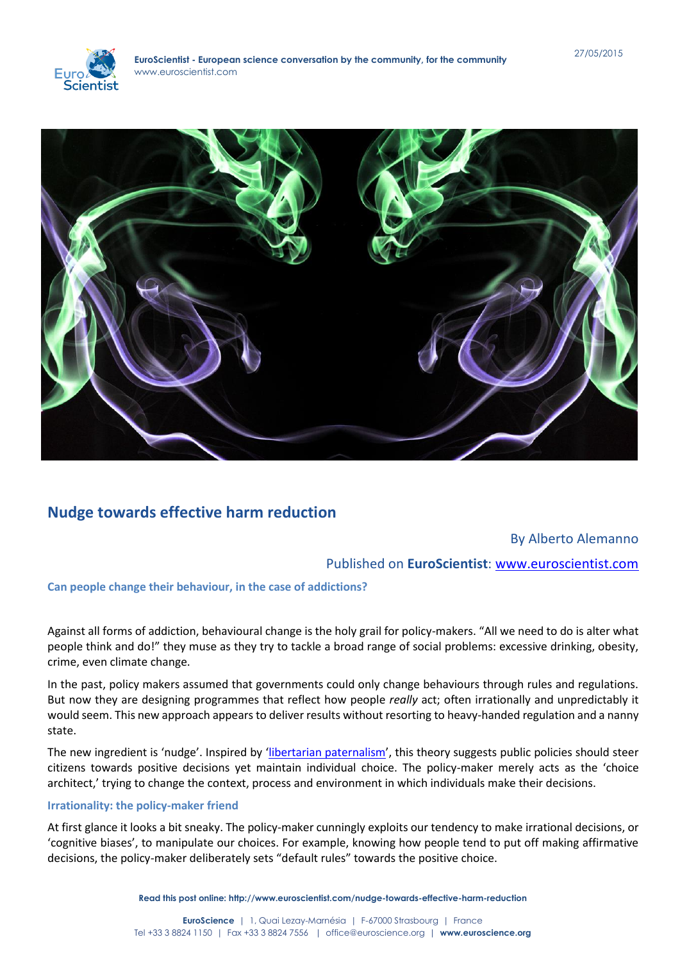



# **[Nudge towards effective harm reduction](http://www.euroscientist.com/nudge-towards-effective-harm-reduction/)**

## By Alberto Alemanno

## Published on **EuroScientist**: [www.euroscientist.com](http://www.euroscientist.com/)

### **Can people change their behaviour, in the case of addictions?**

Against all forms of addiction, behavioural change is the holy grail for policy-makers. "All we need to do is alter what people think and do!" they muse as they try to tackle a broad range of social problems: excessive drinking, obesity, crime, even climate change.

In the past, policy makers assumed that governments could only change behaviours through rules and regulations. But now they are designing programmes that reflect how people *really* act; often irrationally and unpredictably it would seem. This new approach appears to deliver results without resorting to heavy-handed regulation and a nanny state.

The new ingredient is 'nudge'. Inspired by '[libertarian paternalism](http://dx.doi.org/10.2139/ssrn.405940)', this theory suggests public policies should steer citizens towards positive decisions yet maintain individual choice. The policy-maker merely acts as the 'choice architect,' trying to change the context, process and environment in which individuals make their decisions.

## **Irrationality: the policy-maker friend**

At first glance it looks a bit sneaky. The policy-maker cunningly exploits our tendency to make irrational decisions, or 'cognitive biases', to manipulate our choices. For example, knowing how people tend to put off making affirmative decisions, the policy-maker deliberately sets "default rules" towards the positive choice.

**Read this post online: http://www.euroscientist.com/nudge-towards-effective-harm-reduction**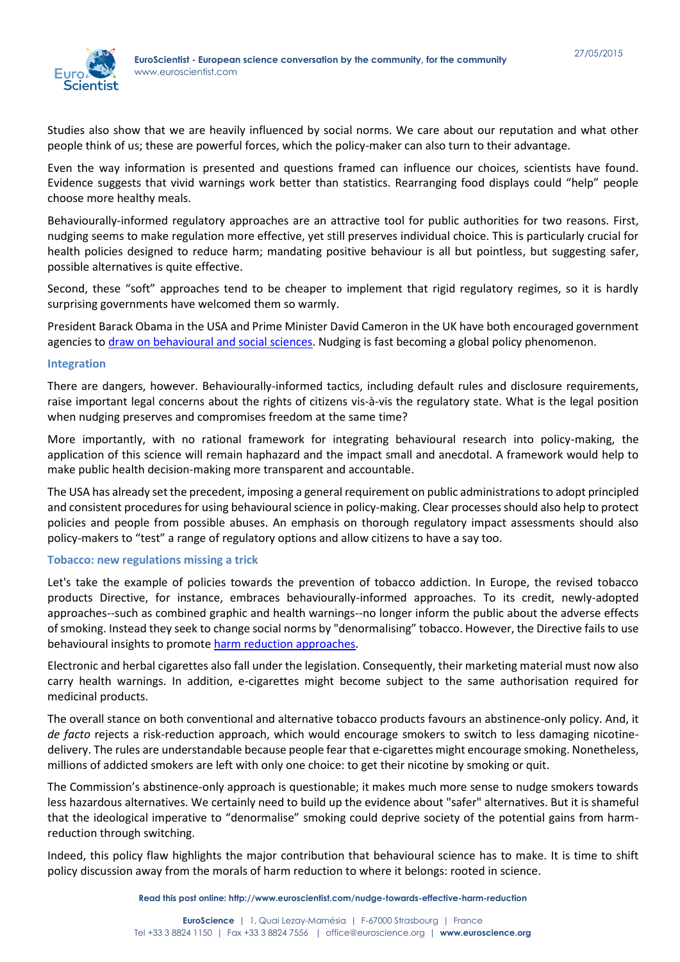

Studies also show that we are heavily influenced by social norms. We care about our reputation and what other people think of us; these are powerful forces, which the policy-maker can also turn to their advantage.

Even the way information is presented and questions framed can influence our choices, scientists have found. Evidence suggests that vivid warnings work better than statistics. Rearranging food displays could "help" people choose more healthy meals.

Behaviourally-informed regulatory approaches are an attractive tool for public authorities for two reasons. First, nudging seems to make regulation more effective, yet still preserves individual choice. This is particularly crucial for health policies designed to reduce harm; mandating positive behaviour is all but pointless, but suggesting safer, possible alternatives is quite effective.

Second, these "soft" approaches tend to be cheaper to implement that rigid regulatory regimes, so it is hardly surprising governments have welcomed them so warmly.

President Barack Obama in the USA and Prime Minister David Cameron in the UK have both encouraged government agencies to [draw on behavioural and social sciences.](http://www.behaviouralinsights.co.uk/) Nudging is fast becoming a global policy phenomenon.

#### **Integration**

There are dangers, however. Behaviourally-informed tactics, including default rules and disclosure requirements, raise important legal concerns about the rights of citizens vis-à-vis the regulatory state. What is the legal position when nudging preserves and compromises freedom at the same time?

More importantly, with no rational framework for integrating behavioural research into policy-making, the application of this science will remain haphazard and the impact small and anecdotal. A framework would help to make public health decision-making more transparent and accountable.

The USA has already set the precedent, imposing a general requirement on public administrations to adopt principled and consistent procedures for using behavioural science in policy-making. Clear processes should also help to protect policies and people from possible abuses. An emphasis on thorough regulatory impact assessments should also policy-makers to "test" a range of regulatory options and allow citizens to have a say too.

#### **Tobacco: new regulations missing a trick**

Let's take the example of policies towards the prevention of tobacco addiction. In Europe, the revised tobacco products Directive, for instance, embraces behaviourally-informed approaches. To its credit, newly-adopted approaches--such as combined graphic and health warnings--no longer inform the public about the adverse effects of smoking. Instead they seek to change social norms by "denormalising" tobacco. However, the Directive fails to use behavioural insights to promote [harm reduction approaches.](http://ssrn.com/abstract=2006599)

Electronic and herbal cigarettes also fall under the legislation. Consequently, their marketing material must now also carry health warnings. In addition, e-cigarettes might become subject to the same authorisation required for medicinal products.

The overall stance on both conventional and alternative tobacco products favours an abstinence-only policy. And, it *de facto* rejects a risk-reduction approach, which would encourage smokers to switch to less damaging nicotinedelivery. The rules are understandable because people fear that e-cigarettes might encourage smoking. Nonetheless, millions of addicted smokers are left with only one choice: to get their nicotine by smoking or quit.

The Commission's abstinence-only approach is questionable; it makes much more sense to nudge smokers towards less hazardous alternatives. We certainly need to build up the evidence about "safer" alternatives. But it is shameful that the ideological imperative to "denormalise" smoking could deprive society of the potential gains from harmreduction through switching.

Indeed, this policy flaw highlights the major contribution that behavioural science has to make. It is time to shift policy discussion away from the morals of harm reduction to where it belongs: rooted in science.